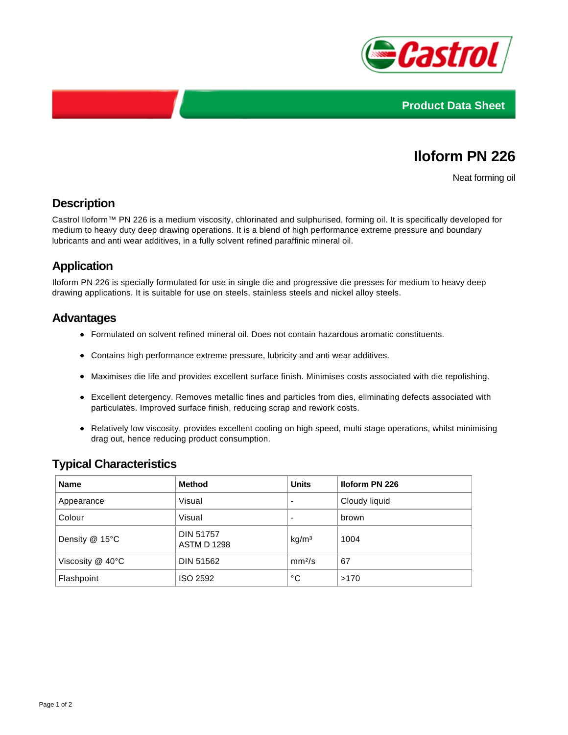



# **Iloform PN 226**

Neat forming oil

## **Description**

Castrol Iloform™ PN 226 is a medium viscosity, chlorinated and sulphurised, forming oil. It is specifically developed for medium to heavy duty deep drawing operations. It is a blend of high performance extreme pressure and boundary lubricants and anti wear additives, in a fully solvent refined paraffinic mineral oil.

## **Application**

Iloform PN 226 is specially formulated for use in single die and progressive die presses for medium to heavy deep drawing applications. It is suitable for use on steels, stainless steels and nickel alloy steels.

### **Advantages**

- Formulated on solvent refined mineral oil. Does not contain hazardous aromatic constituents.
- Contains high performance extreme pressure, lubricity and anti wear additives.
- Maximises die life and provides excellent surface finish. Minimises costs associated with die repolishing.
- Excellent detergency. Removes metallic fines and particles from dies, eliminating defects associated with particulates. Improved surface finish, reducing scrap and rework costs.
- Relatively low viscosity, provides excellent cooling on high speed, multi stage operations, whilst minimising drag out, hence reducing product consumption.

## **Typical Characteristics**

| <b>Name</b>           | <b>Method</b>                          | <b>Units</b>             | <b>Iloform PN 226</b> |
|-----------------------|----------------------------------------|--------------------------|-----------------------|
| Appearance            | Visual                                 | $\overline{\phantom{0}}$ | Cloudy liquid         |
| Colour                | Visual                                 | $\overline{\phantom{0}}$ | brown                 |
| Density @ 15°C        | <b>DIN 51757</b><br><b>ASTM D 1298</b> | kg/m <sup>3</sup>        | 1004                  |
| Viscosity $@$ 40 $°C$ | <b>DIN 51562</b>                       | mm <sup>2</sup> /s       | 67                    |
| Flashpoint            | ISO 2592                               | °C                       | >170                  |